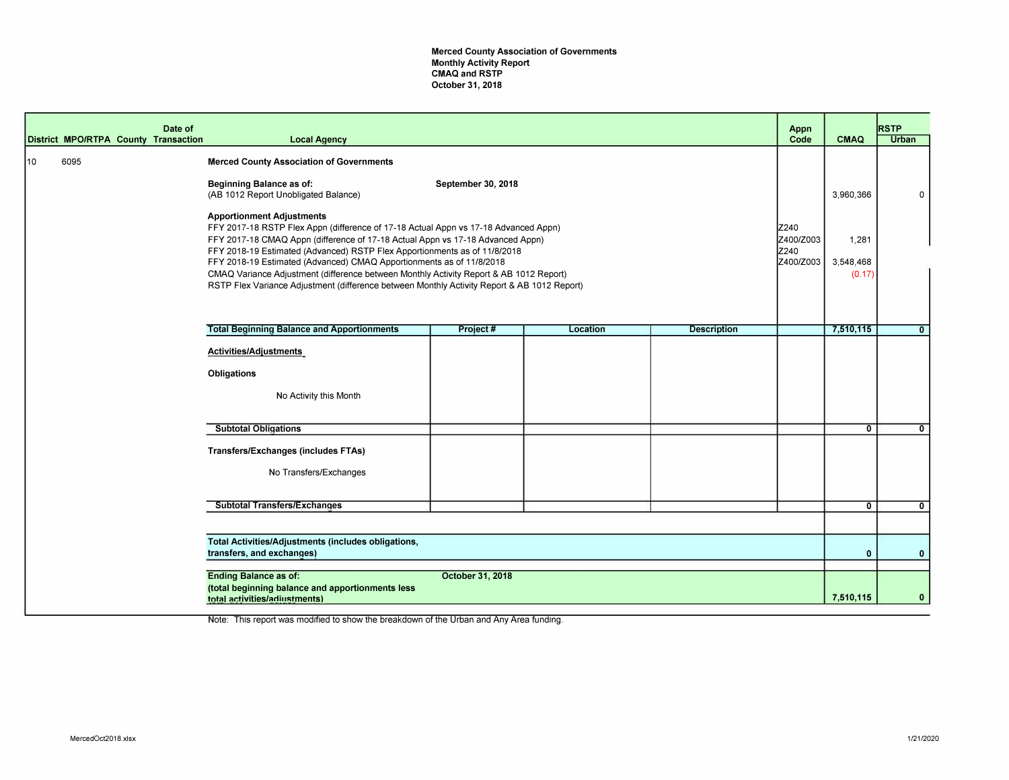Merced County Association of Governments Monthly Activity Report CMAQ and RSTP October **31, 2018** 

|    |      | Date of<br>District MPO/RTPA County Transaction | <b>Local Agency</b>                                                                                                                                                                                                                                                                                                                                                                                                                                                                                                                                     |                    |          |                    | Appn<br>Code                           | <b>CMAQ</b>                  | <b>RSTP</b><br><b>Urban</b> |
|----|------|-------------------------------------------------|---------------------------------------------------------------------------------------------------------------------------------------------------------------------------------------------------------------------------------------------------------------------------------------------------------------------------------------------------------------------------------------------------------------------------------------------------------------------------------------------------------------------------------------------------------|--------------------|----------|--------------------|----------------------------------------|------------------------------|-----------------------------|
| 10 | 6095 |                                                 | <b>Merced County Association of Governments</b><br><b>Beginning Balance as of:</b><br>(AB 1012 Report Unobligated Balance)                                                                                                                                                                                                                                                                                                                                                                                                                              | September 30, 2018 |          |                    |                                        | 3,960,366                    | 0                           |
|    |      |                                                 | <b>Apportionment Adjustments</b><br>FFY 2017-18 RSTP Flex Appn (difference of 17-18 Actual Appn vs 17-18 Advanced Appn)<br>FFY 2017-18 CMAQ Appn (difference of 17-18 Actual Appn vs 17-18 Advanced Appn)<br>FFY 2018-19 Estimated (Advanced) RSTP Flex Apportionments as of 11/8/2018<br>FFY 2018-19 Estimated (Advanced) CMAQ Apportionments as of 11/8/2018<br>CMAQ Variance Adjustment (difference between Monthly Activity Report & AB 1012 Report)<br>RSTP Flex Variance Adjustment (difference between Monthly Activity Report & AB 1012 Report) |                    |          |                    | Z240<br>Z400/Z003<br>Z240<br>Z400/Z003 | 1,281<br>3,548,468<br>(0.17) |                             |
|    |      |                                                 | <b>Total Beginning Balance and Apportionments</b>                                                                                                                                                                                                                                                                                                                                                                                                                                                                                                       | Project#           | Location | <b>Description</b> |                                        | 7,510,115                    | $\mathbf{0}$                |
|    |      |                                                 | Activities/Adjustments<br><b>Obligations</b><br>No Activity this Month                                                                                                                                                                                                                                                                                                                                                                                                                                                                                  |                    |          |                    |                                        |                              |                             |
|    |      |                                                 | <b>Subtotal Obligations</b>                                                                                                                                                                                                                                                                                                                                                                                                                                                                                                                             |                    |          |                    |                                        | $\mathbf{0}$                 | $\mathbf{0}$                |
|    |      |                                                 | <b>Transfers/Exchanges (includes FTAs)</b><br>No Transfers/Exchanges                                                                                                                                                                                                                                                                                                                                                                                                                                                                                    |                    |          |                    |                                        |                              |                             |
|    |      |                                                 | <b>Subtotal Transfers/Exchanges</b>                                                                                                                                                                                                                                                                                                                                                                                                                                                                                                                     |                    |          |                    |                                        | $\overline{0}$               | $\mathbf{0}$                |
|    |      |                                                 |                                                                                                                                                                                                                                                                                                                                                                                                                                                                                                                                                         |                    |          |                    |                                        |                              |                             |
|    |      |                                                 | Total Activities/Adjustments (includes obligations,<br>transfers, and exchanges)                                                                                                                                                                                                                                                                                                                                                                                                                                                                        |                    |          |                    |                                        | $\mathbf{0}$                 | $\mathbf{0}$                |
|    |      |                                                 | <b>Ending Balance as of:</b><br>(total beginning balance and apportionments less<br>total activities/adiustments)                                                                                                                                                                                                                                                                                                                                                                                                                                       | October 31, 2018   |          |                    |                                        | 7,510,115                    | $\mathbf{0}$                |

Note: This report was modified to show the breakdown of the Urban and Any Area funding.